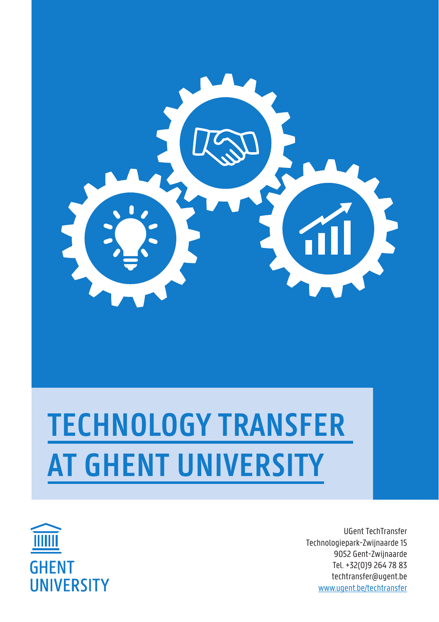

## **TECHNOLOGY TRANSFER AT GHENT UNIVERSITY**



UGent TechTransfer Technologiepark-Zwijnaarde 15 9052 Gent-Zwijnaarde Tel. +32(0)9 264 78 83 techtransfer@ugent.be www.ugent.be/techtransfer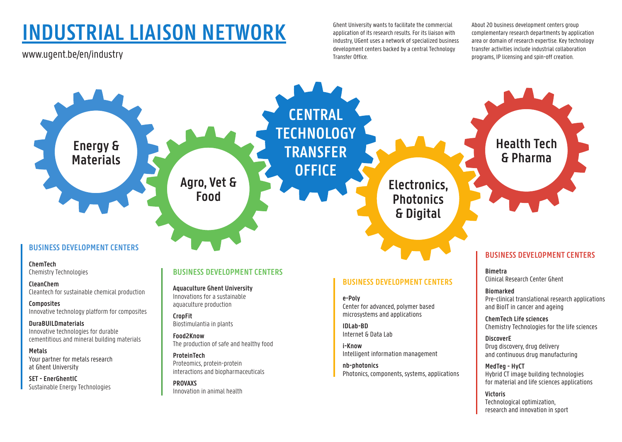## **INDUSTRIAL LIAISON NETWORK**

www.ugent.be/en/industry

Ghent University wants to facilitate the commercial application of its research results. For its liaison with industry, UGent uses a network of specialized business development centers backed by a central Technology Transfer Office.

About 20 business development centers group complementary research departments by application area or domain of research expertise. Key technology transfer activities include industrial collaboration programs, IP licensing and spin-off creation.